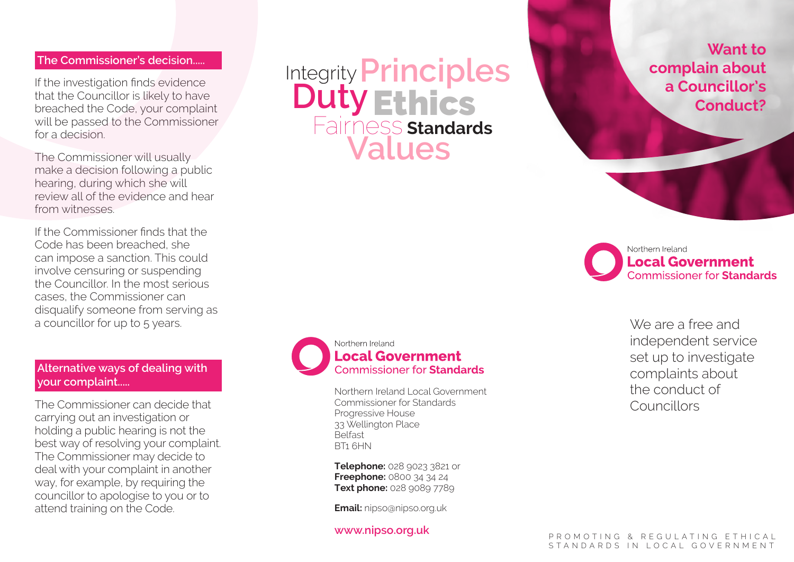### **The Commissioner's decision.....**

If the investigation finds evidence that the Councillor is likely to have breached the Code, your complaint will be passed to the Commissioner for a decision.

The Commissioner will usually make a decision following a public hearing, during which she will review all of the evidence and hear from witnesses.

If the Commissioner finds that the Code has been breached, she can impose a sanction. This could involve censuring or suspending the Councillor. In the most serious cases, the Commissioner can disqualify someone from serving as a councillor for up to 5 years.

## **Alternative ways of dealing with your complaint.....**

The Commissioner can decide that carrying out an investigation or holding a public hearing is not the best way of resolving your complaint. The Commissioner may decide to deal with your complaint in another way, for example, by requiring the councillor to apologise to you or to attend training on the Code.

# Integrity **Duty Principles<br>Duty Ethics** Fairness **Standards Values**



#### Northern Ireland **Local Government Commissioner for Standards**

Northern Ireland Local Government Commissioner for Standards Progressive House 33 Wellington Place Belfast BT1 6HN

**Telephone:** 028 9023 3821 or **Freephone:** 0800 34 34 24 **Text phone:** 028 9089 7789

**Email:** nipso@nipso.org.uk

#### **www.nipso.org.uk**

**Want to complain about a Councillor's Conduct?**

Northern Ireland **Local Government Commissioner for Standards** 

> We are a free and independent service set up to investigate complaints about the conduct of Councillors

P R O M O T I N G & R F G U L A T I N G F T H I C A L STANDARDS IN LOCAL GOVERNMENT